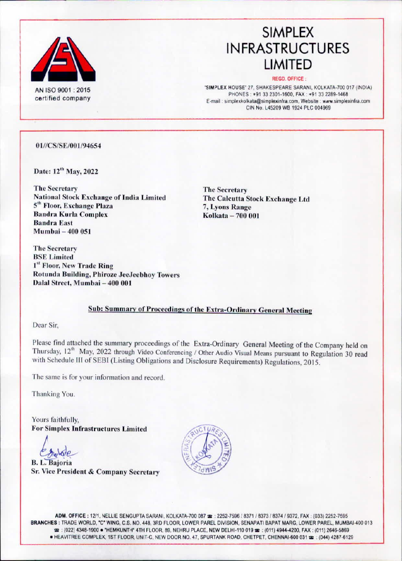

## **SIMPLEX INFRASTRUCTURES LIMITED**

#### **REGD. OFFICE:**

'SIMPLEX HOUSE' 27, SHAKESPEARE SARANI, KOLKATA-700 017 (INDIA) PHONES: +91 33 2301-1600, FAX: +91 33 2289-1468 E-mail: simplexkolkata@simplexinfra.com, Website: www.simplexinfra.com CIN No. L45209 WB 1924 PLC 004969

01//CS/SE/001/94654

Date: 12<sup>th</sup> May, 2022

**The Secretary National Stock Exchange of India Limited** 5<sup>th</sup> Floor, Exchange Plaza **Bandra Kurla Complex Bandra East** Mumbai - 400 051

**The Secretary BSE Limited** 1<sup>st</sup> Floor, New Trade Ring Rotunda Building, Phiroze JeeJeebhov Towers Dalal Street, Mumbai - 400 001

**The Secretary** The Calcutta Stock Exchange Ltd 7, Lyons Range Kolkata - 700 001

### Sub: Summary of Proceedings of the Extra-Ordinary General Meeting

Dear Sir,

Please find attached the summary proceedings of the Extra-Ordinary General Meeting of the Company held on Thursday, 12<sup>th</sup> May, 2022 through Video Conferencing / Other Audio Visual Means pursuant to Regulation 30 read with Schedule III of SEBI (Listing Obligations and Disclosure Requirements) Regulations, 2015.

The same is for your information and record.

Thanking You.

Yours faithfully, **For Simplex Infrastructures Limited** 

**B. L. Bajoria** Sr. Vice President & Company Secretary



ADM. OFFICE: 12/1, NELLIE SENGUPTA SARANI, KOLKATA-700 087 3: 2252-7596 / 8371 / 8373 / 8374 / 9372, FAX: (033) 2252-7595 BRANCHES : TRADE WORLD, "C" WING, C.S. NO. 448, 3RD FLOOR, LOWER PAREL DIVISION, SENAPATI BAPAT MARG, LOWER PAREL, MUMBAI-400 013 22 : (022) 4348-1900 · "HEMKUNTH" 4TH FLOOR, 89, NEHRU PLACE, NEW DELHI-110 019 22 : (011) 4944-4200, FAX : (011) 2646-5869 . HEAVITREE COMPLEX, 1ST FLOOR, UNIT-C, NEW DOOR NO. 47, SPURTANK ROAD, CHETPET, CHENNAI-600 031 =: (044) 4287-6129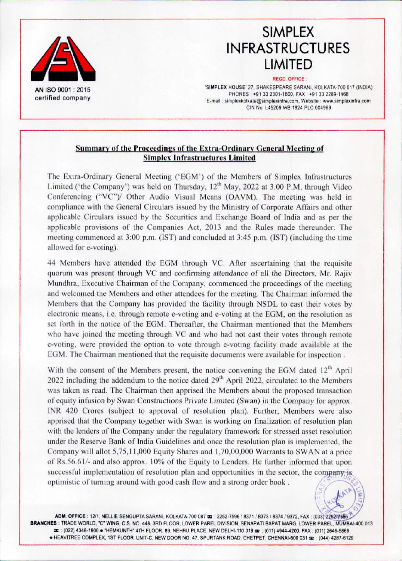

# SIMPLEX **INFRASTRUCTURES** LIMITED

#### REGO OfFICE

'SIMPLEX HOUSE' 27, SHAKESPEARE SARANI, KOLKATA-700 017 (INDIA) PHONES: +91 33 2301-1600, FAX: +91 33 2289-1468 E-mail: simplexkolkata@simplexinfra.com, Website: www.simplexinfra.com CIN No. L45209 WB 1924 PLC 004969

 $\mathbb{E}(\mathbb{C}^{k_{\mathrm{max}}})$ 

 $\ddot{\circ}$ 

### Summary of the Proceedings of the Extra-Ordinary General Meeting of Simplex Infrastructures Limited

The Extra-Ordinary General Meeting ('EGM') of the Members of Simplex Infrastructures Limited ('the Company') was held on Thursday,  $12<sup>th</sup>$  May, 2022 at 3.00 P.M. through Video Conferencing ("VC")/ Other Audio Visual Means (OAVM). The meeting was held in compliance with the General Circulars issued by the Ministry of Corporate Affairs and other applicable Circulars issued by the Securities and Exchange Board of India and as per the applicable provisions of Ihe Companies Act. 2013 and the Rules made thereunder. The meeting commenced at  $3:00$  p.m. (IST) and concluded at  $3:45$  p.m. (IST) (including the time allowed for e-voting).

44 Members have attended the EGM through VC. After ascertaining that the requisite quorum was present through VC and confirming attendance of all the Directors. Mr. Rajiv Mundhra, Executive Chairman of the Company, commenced the proceedings of the meeting and welcomed the Members and other attendees for the meeting. The Chairman informed the Members that the Company has provided the facility through NSDL to cast their votes by electronic means, i.e. through remote e-voting and e-voting at the EGM, on the resolution as set forth in the notice of the EGM. Thereafter. the Chairman mentioned that the Members who have joined the meeting through VC and who had not cast their votes through remote e-voting, were provided the option to vote through e-voting facility made available at the EGM, The Chairman mentioned that the requisite documents were available for inspection.

With the consent of the Members present, the notice convening the EGM dated 12<sup>th</sup> April 2022 including the addendum to the notice dated  $29<sup>th</sup>$  April 2022, circulated to the Members was taken as read. The Chairman then apprised the Members about the proposed transaction of equity infusion by Swan Constructions Private Limited *(Swan)* in the Company for approx. INR 420 Crores (subject to approval of resolution plan). Further, Members were also apprised that the Company together with Swan is working on finalization of resolution plan with the lenders of the Company under the regulatory framework for stressed asset resolution under the Reserve Bank of India Guidelines and once the resolution plan is implemented, the Company will allut 5.75.11.000 Equity Shares and 1.70,00.000 Warrants to SWAN at a price of Rs.56.61/- and also approx. 10% of the Equity to Lenders. He further informed that upon successful implementation of resolution plan and opportunities in the sector, the company is optimistic of turning around with good cash flow and a strong order book.  $r^2$ 

ADM. OFFICE: 12/1, NELLIE SENGUPTA SARANI. KOLKATA-700 087 **32**: ; 2252-7596 / 8371 / 8373 / 8374 / 9372. FAX: (033) 2252-7596. . ." BRANCHES: TRADE WORLD, "C" WING, C.S. NO. 448, 3RD FLOOR, LOWER PAREL DIVISION, SENAPATI BAPAT MARG, LOWER PAREL, MUMBAI-400 013 **E:** (022) 4348-1900 . "HEMKUNT-I" 4TH FLOOR, 89, NEHRU PLACE, NEW DELHI-110 019 :: (011) 4944-4200, FAX: (011) 2646-5869 · HEAVITREE COMPLEX, 1ST FLOOR, UNIT-C, NEW DOOR NO. 47, SPURTANK ROAD, CHETPET, CHENNAI-600 031 =: (044) 4287-6129